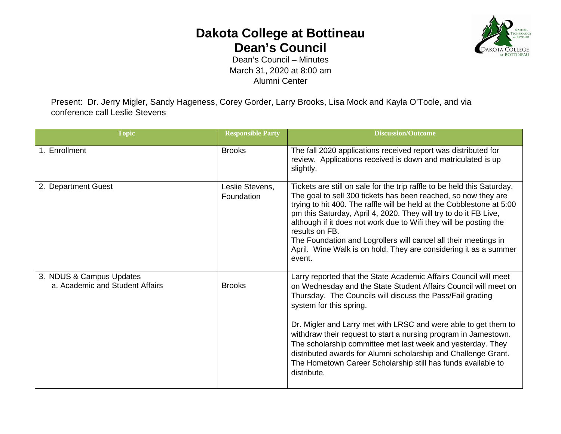## **Dakota College at Bottineau Dean's Council**



Dean's Council – Minutes March 31, 2020 at 8:00 am Alumni Center

Present: Dr. Jerry Migler, Sandy Hageness, Corey Gorder, Larry Brooks, Lisa Mock and Kayla O'Toole, and via conference call Leslie Stevens

| <b>Topic</b>                                                | <b>Responsible Party</b>      | <b>Discussion/Outcome</b>                                                                                                                                                                                                                                                                                                                                                                                                                                                                                                                                                         |
|-------------------------------------------------------------|-------------------------------|-----------------------------------------------------------------------------------------------------------------------------------------------------------------------------------------------------------------------------------------------------------------------------------------------------------------------------------------------------------------------------------------------------------------------------------------------------------------------------------------------------------------------------------------------------------------------------------|
| 1. Enrollment                                               | <b>Brooks</b>                 | The fall 2020 applications received report was distributed for<br>review. Applications received is down and matriculated is up<br>slightly.                                                                                                                                                                                                                                                                                                                                                                                                                                       |
| 2. Department Guest                                         | Leslie Stevens,<br>Foundation | Tickets are still on sale for the trip raffle to be held this Saturday.<br>The goal to sell 300 tickets has been reached, so now they are<br>trying to hit 400. The raffle will be held at the Cobblestone at 5:00<br>pm this Saturday, April 4, 2020. They will try to do it FB Live,<br>although if it does not work due to Wifi they will be posting the<br>results on FB.<br>The Foundation and Logrollers will cancel all their meetings in<br>April. Wine Walk is on hold. They are considering it as a summer<br>event.                                                    |
| 3. NDUS & Campus Updates<br>a. Academic and Student Affairs | <b>Brooks</b>                 | Larry reported that the State Academic Affairs Council will meet<br>on Wednesday and the State Student Affairs Council will meet on<br>Thursday. The Councils will discuss the Pass/Fail grading<br>system for this spring.<br>Dr. Migler and Larry met with LRSC and were able to get them to<br>withdraw their request to start a nursing program in Jamestown.<br>The scholarship committee met last week and yesterday. They<br>distributed awards for Alumni scholarship and Challenge Grant.<br>The Hometown Career Scholarship still has funds available to<br>distribute. |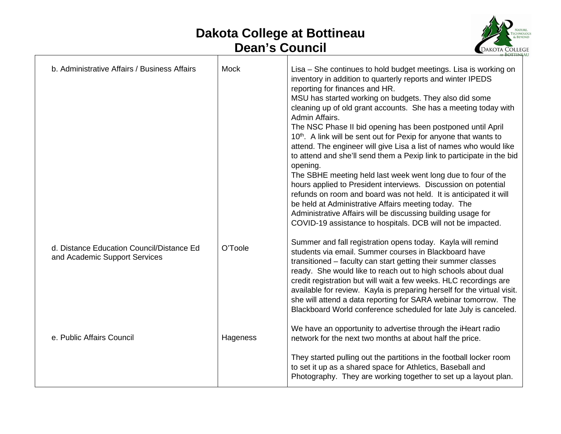## **Dakota College at Bottineau Dean's Council**



| b. Administrative Affairs / Business Affairs                               | Mock     | Lisa - She continues to hold budget meetings. Lisa is working on<br>inventory in addition to quarterly reports and winter IPEDS<br>reporting for finances and HR.<br>MSU has started working on budgets. They also did some<br>cleaning up of old grant accounts. She has a meeting today with<br>Admin Affairs.<br>The NSC Phase II bid opening has been postponed until April<br>10th. A link will be sent out for Pexip for anyone that wants to<br>attend. The engineer will give Lisa a list of names who would like<br>to attend and she'll send them a Pexip link to participate in the bid<br>opening.<br>The SBHE meeting held last week went long due to four of the<br>hours applied to President interviews. Discussion on potential<br>refunds on room and board was not held. It is anticipated it will<br>be held at Administrative Affairs meeting today. The<br>Administrative Affairs will be discussing building usage for<br>COVID-19 assistance to hospitals. DCB will not be impacted. |
|----------------------------------------------------------------------------|----------|--------------------------------------------------------------------------------------------------------------------------------------------------------------------------------------------------------------------------------------------------------------------------------------------------------------------------------------------------------------------------------------------------------------------------------------------------------------------------------------------------------------------------------------------------------------------------------------------------------------------------------------------------------------------------------------------------------------------------------------------------------------------------------------------------------------------------------------------------------------------------------------------------------------------------------------------------------------------------------------------------------------|
| d. Distance Education Council/Distance Ed<br>and Academic Support Services | O'Toole  | Summer and fall registration opens today. Kayla will remind<br>students via email. Summer courses in Blackboard have<br>transitioned – faculty can start getting their summer classes<br>ready. She would like to reach out to high schools about dual<br>credit registration but will wait a few weeks. HLC recordings are<br>available for review. Kayla is preparing herself for the virtual visit.<br>she will attend a data reporting for SARA webinar tomorrow. The<br>Blackboard World conference scheduled for late July is canceled.                                                                                                                                                                                                                                                                                                                                                                                                                                                                |
| e. Public Affairs Council                                                  | Hageness | We have an opportunity to advertise through the iHeart radio<br>network for the next two months at about half the price.                                                                                                                                                                                                                                                                                                                                                                                                                                                                                                                                                                                                                                                                                                                                                                                                                                                                                     |
|                                                                            |          | They started pulling out the partitions in the football locker room<br>to set it up as a shared space for Athletics, Baseball and<br>Photography. They are working together to set up a layout plan.                                                                                                                                                                                                                                                                                                                                                                                                                                                                                                                                                                                                                                                                                                                                                                                                         |